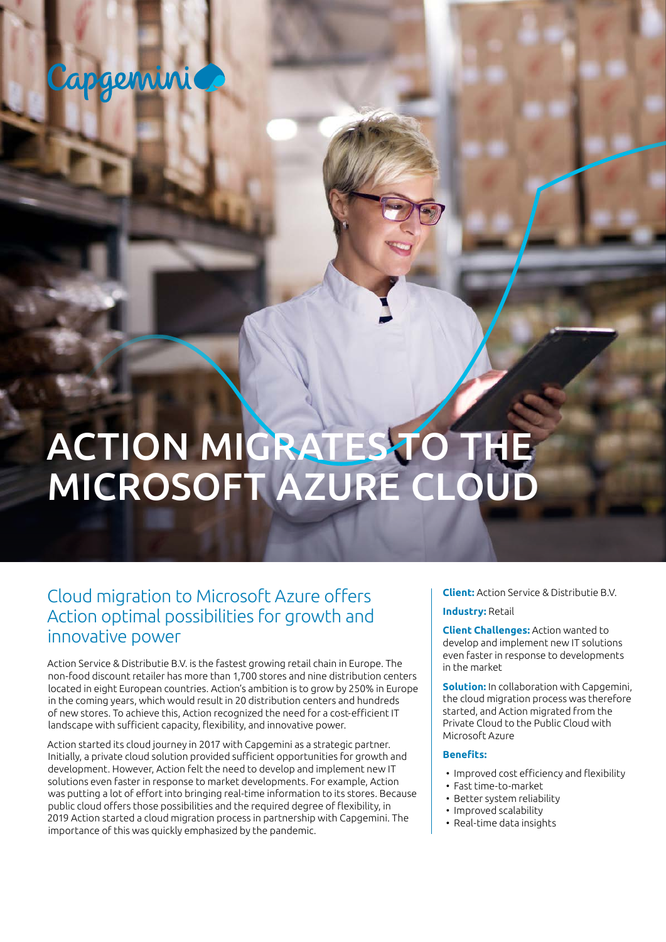## Capgemini

# ACTION MIGRATES TO THE MICROSOFT AZURE CLOUD

### Cloud migration to Microsoft Azure offers Action optimal possibilities for growth and innovative power

Action Service & Distributie B.V. is the fastest growing retail chain in Europe. The non-food discount retailer has more than 1,700 stores and nine distribution centers located in eight European countries. Action's ambition is to grow by 250% in Europe in the coming years, which would result in 20 distribution centers and hundreds of new stores. To achieve this, Action recognized the need for a cost-efficient IT landscape with sufficient capacity, flexibility, and innovative power.

Action started its cloud journey in 2017 with Capgemini as a strategic partner. Initially, a private cloud solution provided sufficient opportunities for growth and development. However, Action felt the need to develop and implement new IT solutions even faster in response to market developments. For example, Action was putting a lot of effort into bringing real-time information to its stores. Because public cloud offers those possibilities and the required degree of flexibility, in 2019 Action started a cloud migration process in partnership with Capgemini. The importance of this was quickly emphasized by the pandemic.

**Client:** Action Service & Distributie B.V. **Industry:** Retail

**Client Challenges:** Action wanted to develop and implement new IT solutions even faster in response to developments in the market

**Solution:** In collaboration with Capgemini, the cloud migration process was therefore started, and Action migrated from the Private Cloud to the Public Cloud with Microsoft Azure

#### **Benefits:**

- Improved cost efficiency and flexibility
- Fast time-to-market
- Better system reliability
- Improved scalability
- Real-time data insights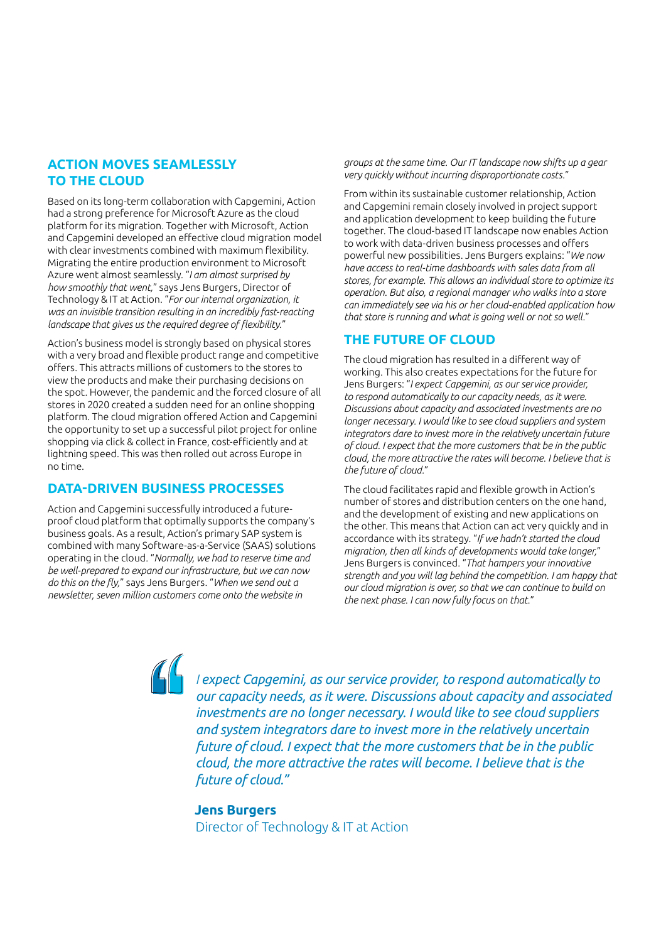#### **ACTION MOVES SEAMLESSLY TO THE CLOUD**

Based on its long-term collaboration with Capgemini, Action had a strong preference for Microsoft Azure as the cloud platform for its migration. Together with Microsoft, Action and Capgemini developed an effective cloud migration model with clear investments combined with maximum flexibility. Migrating the entire production environment to Microsoft Azure went almost seamlessly. "*I am almost surprised by how smoothly that went,*" says Jens Burgers, Director of Technology & IT at Action. "*For our internal organization, it was an invisible transition resulting in an incredibly fast-reacting landscape that gives us the required degree of flexibility.*"

Action's business model is strongly based on physical stores with a very broad and flexible product range and competitive offers. This attracts millions of customers to the stores to view the products and make their purchasing decisions on the spot. However, the pandemic and the forced closure of all stores in 2020 created a sudden need for an online shopping platform. The cloud migration offered Action and Capgemini the opportunity to set up a successful pilot project for online shopping via click & collect in France, cost-efficiently and at lightning speed. This was then rolled out across Europe in no time.

#### **DATA-DRIVEN BUSINESS PROCESSES**

Action and Capgemini successfully introduced a futureproof cloud platform that optimally supports the company's business goals. As a result, Action's primary SAP system is combined with many Software-as-a-Service (SAAS) solutions operating in the cloud. "*Normally, we had to reserve time and be well-prepared to expand our infrastructure, but we can now do this on the fly,*" says Jens Burgers. "*When we send out a newsletter, seven million customers come onto the website in* 

*groups at the same time. Our IT landscape now shifts up a gear very quickly without incurring disproportionate costs.*"

From within its sustainable customer relationship, Action and Capgemini remain closely involved in project support and application development to keep building the future together. The cloud-based IT landscape now enables Action to work with data-driven business processes and offers powerful new possibilities. Jens Burgers explains: "*We now have access to real-time dashboards with sales data from all stores, for example. This allows an individual store to optimize its operation. But also, a regional manager who walks into a store can immediately see via his or her cloud-enabled application how that store is running and what is going well or not so well.*"

#### **THE FUTURE OF CLOUD**

The cloud migration has resulted in a different way of working. This also creates expectations for the future for Jens Burgers: "*I expect Capgemini, as our service provider, to respond automatically to our capacity needs, as it were. Discussions about capacity and associated investments are no longer necessary. I would like to see cloud suppliers and system integrators dare to invest more in the relatively uncertain future of cloud. I expect that the more customers that be in the public cloud, the more attractive the rates will become. I believe that is the future of cloud.*"

The cloud facilitates rapid and flexible growth in Action's number of stores and distribution centers on the one hand, and the development of existing and new applications on the other. This means that Action can act very quickly and in accordance with its strategy. "*If we hadn't started the cloud migration, then all kinds of developments would take longer,*" Jens Burgers is convinced. "*That hampers your innovative strength and you will lag behind the competition. I am happy that our cloud migration is over, so that we can continue to build on the next phase. I can now fully focus on that.*"

*I expect Capgemini, as our service provider, to respond automatically to our capacity needs, as it were. Discussions about capacity and associated investments are no longer necessary. I would like to see cloud suppliers and system integrators dare to invest more in the relatively uncertain future of cloud. I expect that the more customers that be in the public cloud, the more attractive the rates will become. I believe that is the future of cloud."* 

**Jens Burgers** Director of Technology & IT at Action